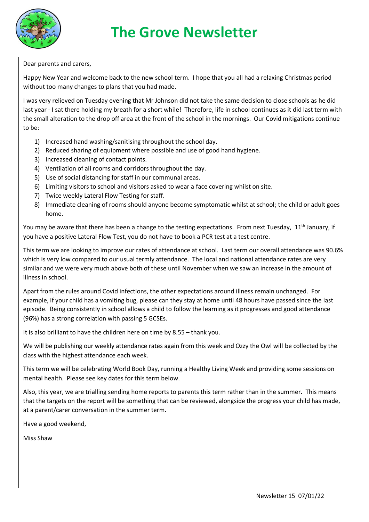

Dear parents and carers,

Happy New Year and welcome back to the new school term. I hope that you all had a relaxing Christmas period without too many changes to plans that you had made.

I was very relieved on Tuesday evening that Mr Johnson did not take the same decision to close schools as he did last year - I sat there holding my breath for a short while! Therefore, life in school continues as it did last term with the small alteration to the drop off area at the front of the school in the mornings. Our Covid mitigations continue to be:

- 1) Increased hand washing/sanitising throughout the school day.
- 2) Reduced sharing of equipment where possible and use of good hand hygiene.
- 3) Increased cleaning of contact points.
- 4) Ventilation of all rooms and corridors throughout the day.
- 5) Use of social distancing for staff in our communal areas.
- 6) Limiting visitors to school and visitors asked to wear a face covering whilst on site.
- 7) Twice weekly Lateral Flow Testing for staff.
- 8) Immediate cleaning of rooms should anyone become symptomatic whilst at school; the child or adult goes home.

You may be aware that there has been a change to the testing expectations. From next Tuesday, 11<sup>th</sup> January, if you have a positive Lateral Flow Test, you do not have to book a PCR test at a test centre.

This term we are looking to improve our rates of attendance at school. Last term our overall attendance was 90.6% which is very low compared to our usual termly attendance. The local and national attendance rates are very similar and we were very much above both of these until November when we saw an increase in the amount of illness in school.

Apart from the rules around Covid infections, the other expectations around illness remain unchanged. For example, if your child has a vomiting bug, please can they stay at home until 48 hours have passed since the last episode. Being consistently in school allows a child to follow the learning as it progresses and good attendance (96%) has a strong correlation with passing 5 GCSEs.

It is also brilliant to have the children here on time by 8.55 – thank you.

We will be publishing our weekly attendance rates again from this week and Ozzy the Owl will be collected by the class with the highest attendance each week.

This term we will be celebrating World Book Day, running a Healthy Living Week and providing some sessions on mental health. Please see key dates for this term below.

Also, this year, we are trialling sending home reports to parents this term rather than in the summer. This means that the targets on the report will be something that can be reviewed, alongside the progress your child has made, at a parent/carer conversation in the summer term.

Have a good weekend,

Miss Shaw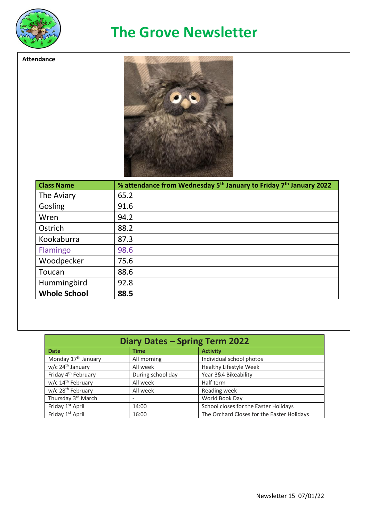

**Attendance**

## **The Grove Newsletter**



| <b>Class Name</b>   | % attendance from Wednesday 5 <sup>th</sup> January to Friday 7 <sup>th</sup> January 2022 |
|---------------------|--------------------------------------------------------------------------------------------|
| The Aviary          | 65.2                                                                                       |
| Gosling             | 91.6                                                                                       |
| Wren                | 94.2                                                                                       |
| Ostrich             | 88.2                                                                                       |
| Kookaburra          | 87.3                                                                                       |
| Flamingo            | 98.6                                                                                       |
| Woodpecker          | 75.6                                                                                       |
| Toucan              | 88.6                                                                                       |
| Hummingbird         | 92.8                                                                                       |
| <b>Whole School</b> | 88.5                                                                                       |

| Diary Dates - Spring Term 2022  |                   |                                            |  |
|---------------------------------|-------------------|--------------------------------------------|--|
| <b>Date</b>                     | <b>Time</b>       | <b>Activity</b>                            |  |
| Monday 17 <sup>th</sup> January | All morning       | Individual school photos                   |  |
| w/c 24 <sup>th</sup> January    | All week          | Healthy Lifestyle Week                     |  |
| Friday 4 <sup>th</sup> February | During school day | Year 3&4 Bikeability                       |  |
| w/c 14 <sup>th</sup> February   | All week          | Half term                                  |  |
| w/c 28 <sup>th</sup> February   | All week          | Reading week                               |  |
| Thursday 3rd March              |                   | World Book Day                             |  |
| Friday 1 <sup>st</sup> April    | 14:00             | School closes for the Easter Holidays      |  |
| Friday 1 <sup>st</sup> April    | 16:00             | The Orchard Closes for the Easter Holidays |  |